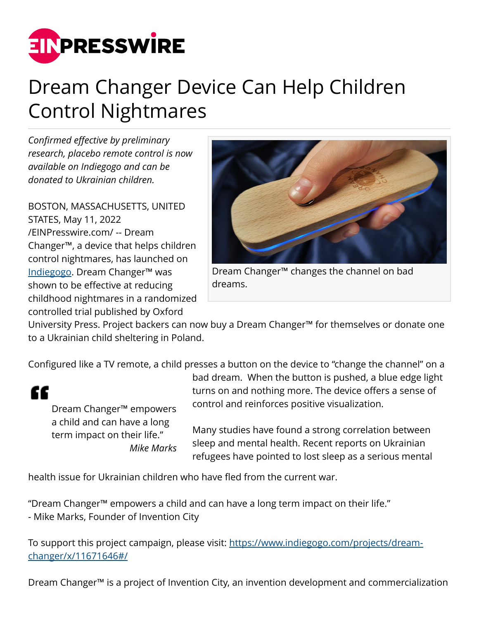

## Dream Changer Device Can Help Children Control Nightmares

*Confirmed effective by preliminary research, placebo remote control is now available on Indiegogo and can be donated to Ukrainian children.*

BOSTON, MASSACHUSETTS, UNITED STATES, May 11, 2022 [/EINPresswire.com/](http://www.einpresswire.com) -- Dream Changer™, a device that helps children control nightmares, has launched on [Indiegogo](https://www.indiegogo.com/projects/dream-changer/x/11671646#/). Dream Changer™ was shown to be effective at reducing childhood nightmares in a randomized controlled trial published by Oxford



Dream Changer™ changes the channel on bad dreams.

University Press. Project backers can now buy a Dream Changer™ for themselves or donate one to a Ukrainian child sheltering in Poland.

Configured like a TV remote, a child presses a button on the device to "change the channel" on a



Dream Changer™ empowers a child and can have a long term impact on their life." *Mike Marks*

bad dream. When the button is pushed, a blue edge light turns on and nothing more. The device offers a sense of control and reinforces positive visualization.

Many studies have found a strong correlation between sleep and mental health. Recent reports on Ukrainian refugees have pointed to lost sleep as a serious mental

health issue for Ukrainian children who have fled from the current war.

"Dream Changer™ empowers a child and can have a long term impact on their life." - Mike Marks, Founder of Invention City

To support this project campaign, please visit: [https://www.indiegogo.com/projects/dream](https://www.indiegogo.com/projects/dream-changer/x/11671646#/)[changer/x/11671646#/](https://www.indiegogo.com/projects/dream-changer/x/11671646#/)

Dream Changer™ is a project of Invention City, an invention development and commercialization